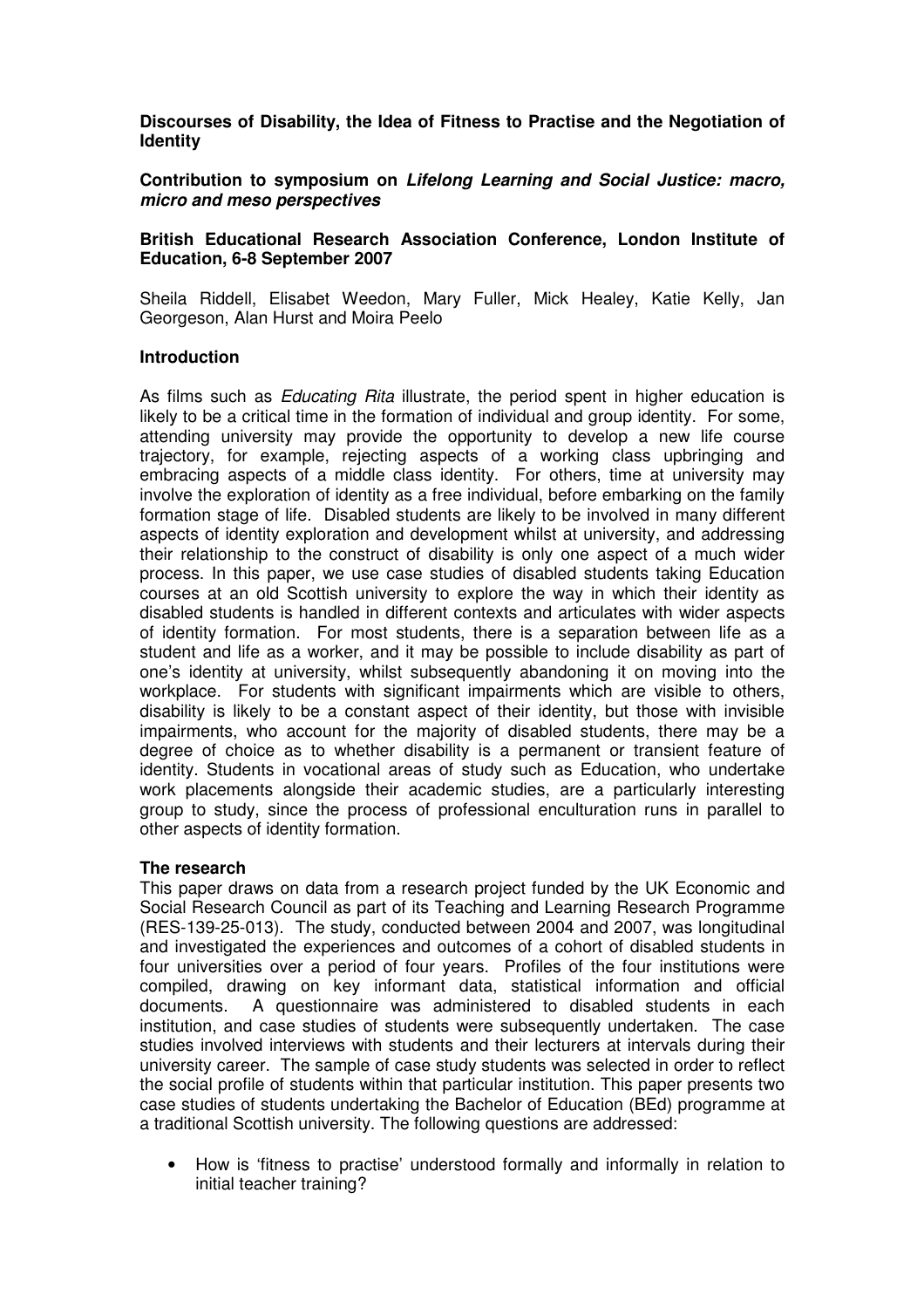# Discourses of Disability, the Idea of Fitness to Practise and the Negotiation of **Identity**

Contribution to symposium on Lifelong Learning and Social Justice: macro, micro and meso perspectives

### British Educational Research Association Conference, London Institute of Education, 6-8 September 2007

Sheila Riddell, Elisabet Weedon, Mary Fuller, Mick Healey, Katie Kelly, Jan Georgeson, Alan Hurst and Moira Peelo

### **Introduction**

As films such as *Educating Rita* illustrate, the period spent in higher education is likely to be a critical time in the formation of individual and group identity. For some, attending university may provide the opportunity to develop a new life course trajectory, for example, rejecting aspects of a working class upbringing and embracing aspects of a middle class identity. For others, time at university may involve the exploration of identity as a free individual, before embarking on the family formation stage of life. Disabled students are likely to be involved in many different aspects of identity exploration and development whilst at university, and addressing their relationship to the construct of disability is only one aspect of a much wider process. In this paper, we use case studies of disabled students taking Education courses at an old Scottish university to explore the way in which their identity as disabled students is handled in different contexts and articulates with wider aspects of identity formation. For most students, there is a separation between life as a student and life as a worker, and it may be possible to include disability as part of one's identity at university, whilst subsequently abandoning it on moving into the workplace. For students with significant impairments which are visible to others, disability is likely to be a constant aspect of their identity, but those with invisible impairments, who account for the majority of disabled students, there may be a degree of choice as to whether disability is a permanent or transient feature of identity. Students in vocational areas of study such as Education, who undertake work placements alongside their academic studies, are a particularly interesting group to study, since the process of professional enculturation runs in parallel to other aspects of identity formation.

#### The research

This paper draws on data from a research project funded by the UK Economic and Social Research Council as part of its Teaching and Learning Research Programme (RES-139-25-013). The study, conducted between 2004 and 2007, was longitudinal and investigated the experiences and outcomes of a cohort of disabled students in four universities over a period of four years. Profiles of the four institutions were compiled, drawing on key informant data, statistical information and official documents. A questionnaire was administered to disabled students in each institution, and case studies of students were subsequently undertaken. The case studies involved interviews with students and their lecturers at intervals during their university career. The sample of case study students was selected in order to reflect the social profile of students within that particular institution. This paper presents two case studies of students undertaking the Bachelor of Education (BEd) programme at a traditional Scottish university. The following questions are addressed:

• How is 'fitness to practise' understood formally and informally in relation to initial teacher training?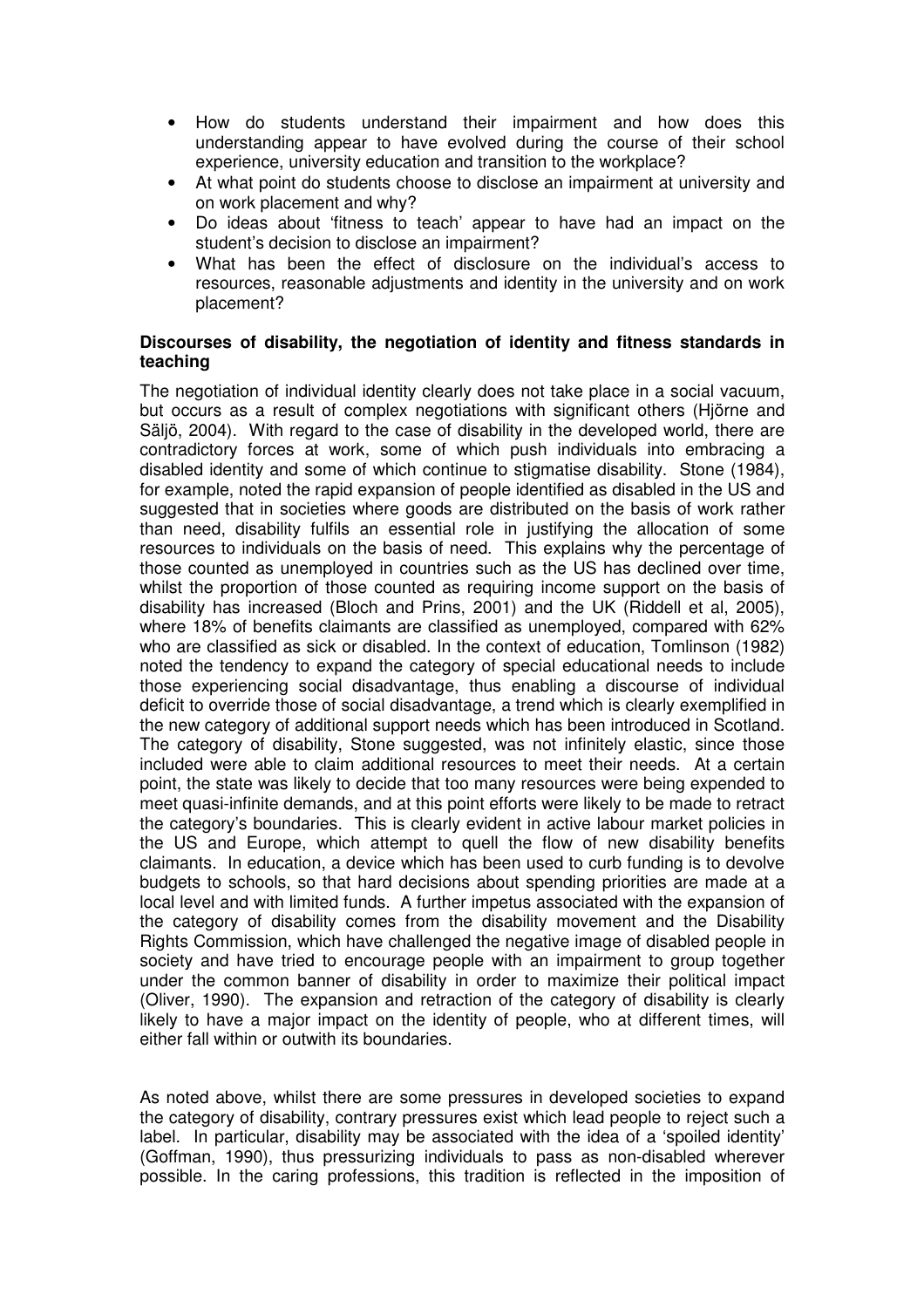- How do students understand their impairment and how does this understanding appear to have evolved during the course of their school experience, university education and transition to the workplace?
- At what point do students choose to disclose an impairment at university and on work placement and why?
- Do ideas about 'fitness to teach' appear to have had an impact on the student's decision to disclose an impairment?
- What has been the effect of disclosure on the individual's access to resources, reasonable adjustments and identity in the university and on work placement?

# Discourses of disability, the negotiation of identity and fitness standards in teaching

The negotiation of individual identity clearly does not take place in a social vacuum, but occurs as a result of complex negotiations with significant others (Hjörne and Säljö, 2004). With regard to the case of disability in the developed world, there are contradictory forces at work, some of which push individuals into embracing a disabled identity and some of which continue to stigmatise disability. Stone (1984), for example, noted the rapid expansion of people identified as disabled in the US and suggested that in societies where goods are distributed on the basis of work rather than need, disability fulfils an essential role in justifying the allocation of some resources to individuals on the basis of need. This explains why the percentage of those counted as unemployed in countries such as the US has declined over time, whilst the proportion of those counted as requiring income support on the basis of disability has increased (Bloch and Prins, 2001) and the UK (Riddell et al, 2005), where 18% of benefits claimants are classified as unemployed, compared with 62% who are classified as sick or disabled. In the context of education, Tomlinson (1982) noted the tendency to expand the category of special educational needs to include those experiencing social disadvantage, thus enabling a discourse of individual deficit to override those of social disadvantage, a trend which is clearly exemplified in the new category of additional support needs which has been introduced in Scotland. The category of disability, Stone suggested, was not infinitely elastic, since those included were able to claim additional resources to meet their needs. At a certain point, the state was likely to decide that too many resources were being expended to meet quasi-infinite demands, and at this point efforts were likely to be made to retract the category's boundaries. This is clearly evident in active labour market policies in the US and Europe, which attempt to quell the flow of new disability benefits claimants. In education, a device which has been used to curb funding is to devolve budgets to schools, so that hard decisions about spending priorities are made at a local level and with limited funds. A further impetus associated with the expansion of the category of disability comes from the disability movement and the Disability Rights Commission, which have challenged the negative image of disabled people in society and have tried to encourage people with an impairment to group together under the common banner of disability in order to maximize their political impact (Oliver, 1990). The expansion and retraction of the category of disability is clearly likely to have a major impact on the identity of people, who at different times, will either fall within or outwith its boundaries.

As noted above, whilst there are some pressures in developed societies to expand the category of disability, contrary pressures exist which lead people to reject such a label. In particular, disability may be associated with the idea of a 'spoiled identity' (Goffman, 1990), thus pressurizing individuals to pass as non-disabled wherever possible. In the caring professions, this tradition is reflected in the imposition of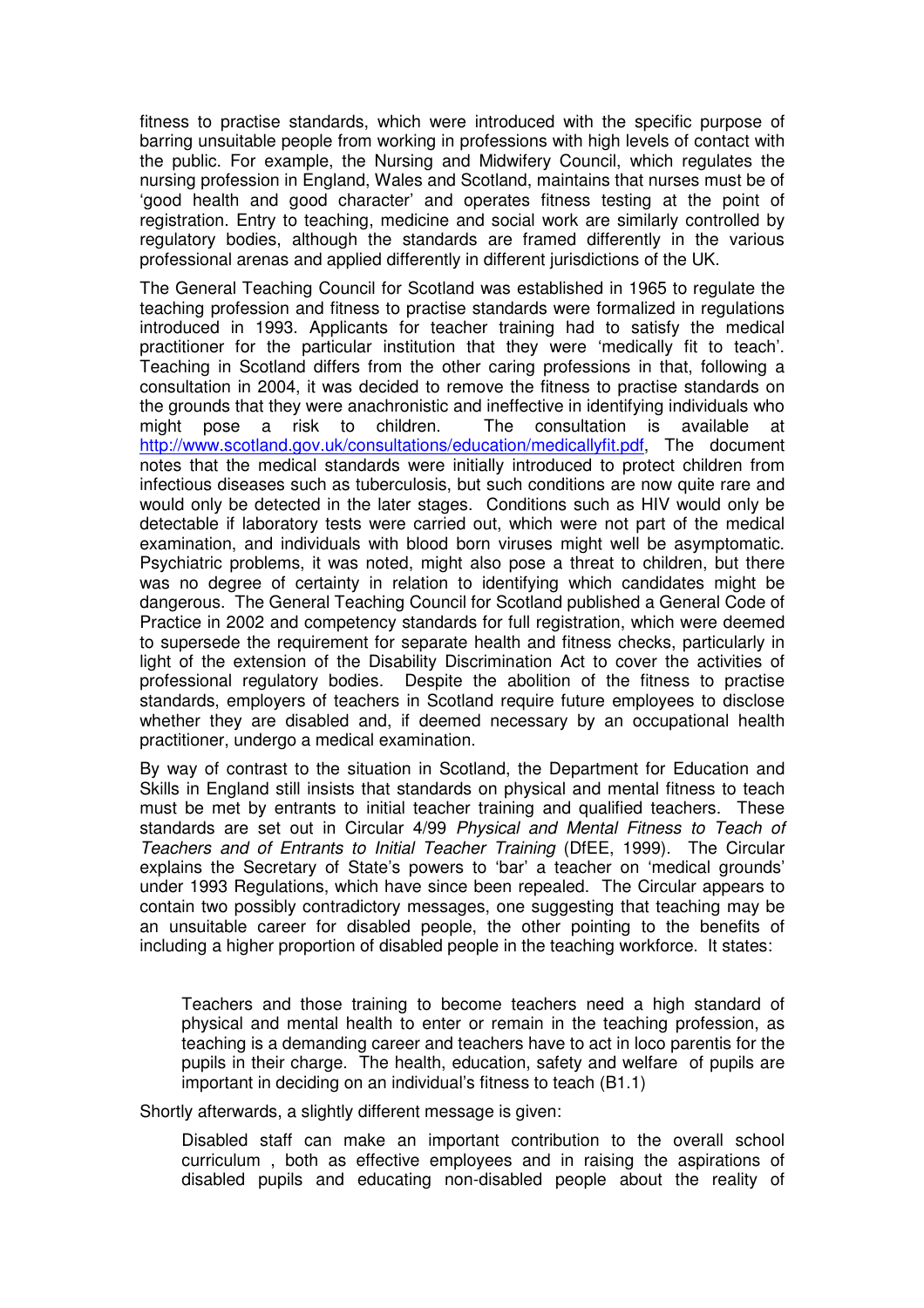fitness to practise standards, which were introduced with the specific purpose of barring unsuitable people from working in professions with high levels of contact with the public. For example, the Nursing and Midwifery Council, which regulates the nursing profession in England, Wales and Scotland, maintains that nurses must be of 'good health and good character' and operates fitness testing at the point of registration. Entry to teaching, medicine and social work are similarly controlled by regulatory bodies, although the standards are framed differently in the various professional arenas and applied differently in different jurisdictions of the UK.

The General Teaching Council for Scotland was established in 1965 to regulate the teaching profession and fitness to practise standards were formalized in regulations introduced in 1993. Applicants for teacher training had to satisfy the medical practitioner for the particular institution that they were 'medically fit to teach'. Teaching in Scotland differs from the other caring professions in that, following a consultation in 2004, it was decided to remove the fitness to practise standards on the grounds that they were anachronistic and ineffective in identifying individuals who might pose a risk to children. The consultation is available at http://www.scotland.gov.uk/consultations/education/medicallyfit.pdf, The document notes that the medical standards were initially introduced to protect children from infectious diseases such as tuberculosis, but such conditions are now quite rare and would only be detected in the later stages. Conditions such as HIV would only be detectable if laboratory tests were carried out, which were not part of the medical examination, and individuals with blood born viruses might well be asymptomatic. Psychiatric problems, it was noted, might also pose a threat to children, but there was no degree of certainty in relation to identifying which candidates might be dangerous. The General Teaching Council for Scotland published a General Code of Practice in 2002 and competency standards for full registration, which were deemed to supersede the requirement for separate health and fitness checks, particularly in light of the extension of the Disability Discrimination Act to cover the activities of professional regulatory bodies. Despite the abolition of the fitness to practise standards, employers of teachers in Scotland require future employees to disclose whether they are disabled and, if deemed necessary by an occupational health practitioner, undergo a medical examination.

By way of contrast to the situation in Scotland, the Department for Education and Skills in England still insists that standards on physical and mental fitness to teach must be met by entrants to initial teacher training and qualified teachers. These standards are set out in Circular 4/99 Physical and Mental Fitness to Teach of Teachers and of Entrants to Initial Teacher Training (DfEE, 1999). The Circular explains the Secretary of State's powers to 'bar' a teacher on 'medical grounds' under 1993 Regulations, which have since been repealed. The Circular appears to contain two possibly contradictory messages, one suggesting that teaching may be an unsuitable career for disabled people, the other pointing to the benefits of including a higher proportion of disabled people in the teaching workforce. It states:

Teachers and those training to become teachers need a high standard of physical and mental health to enter or remain in the teaching profession, as teaching is a demanding career and teachers have to act in loco parentis for the pupils in their charge. The health, education, safety and welfare of pupils are important in deciding on an individual's fitness to teach (B1.1)

Shortly afterwards, a slightly different message is given:

Disabled staff can make an important contribution to the overall school curriculum , both as effective employees and in raising the aspirations of disabled pupils and educating non-disabled people about the reality of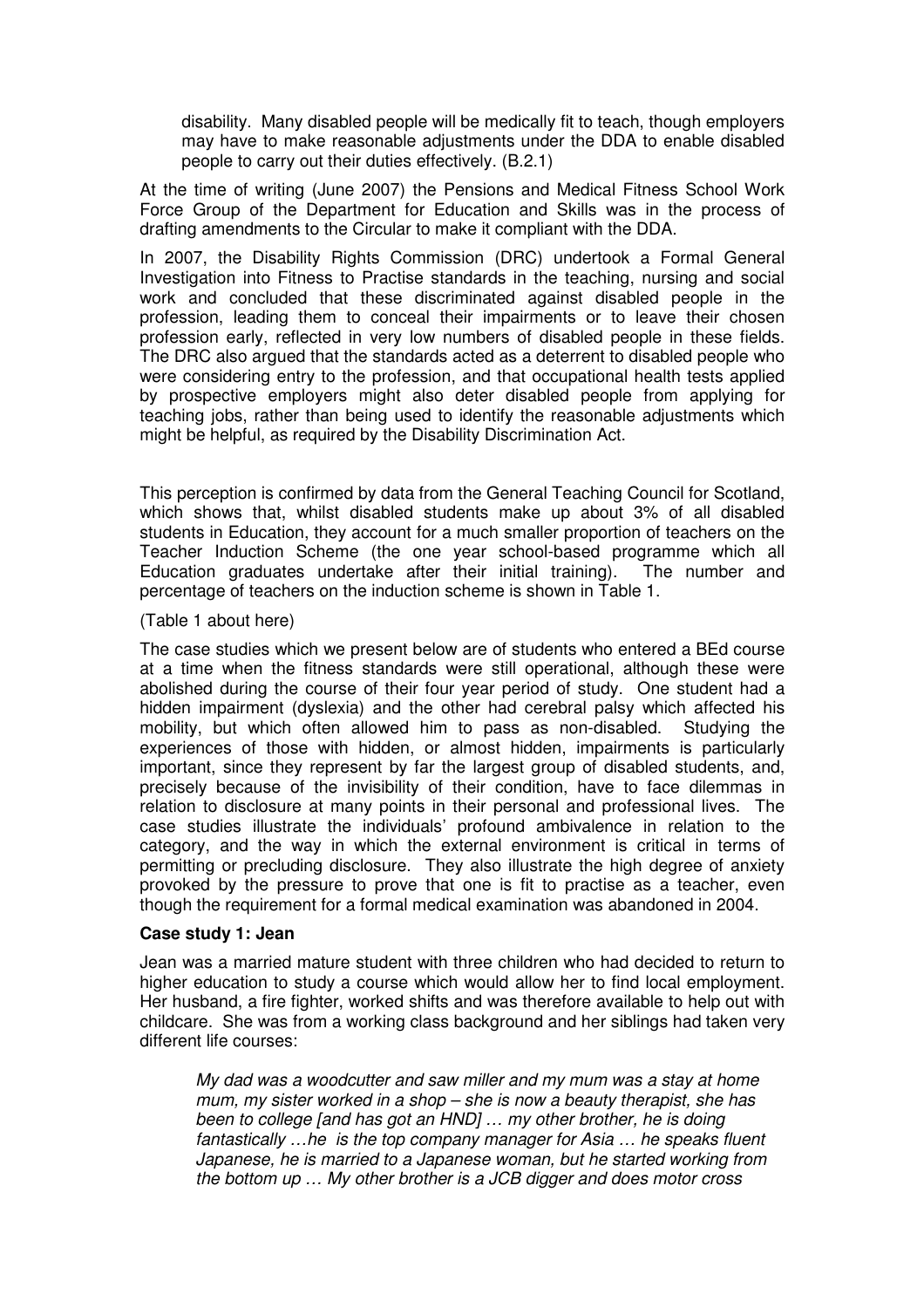disability. Many disabled people will be medically fit to teach, though employers may have to make reasonable adjustments under the DDA to enable disabled people to carry out their duties effectively. (B.2.1)

At the time of writing (June 2007) the Pensions and Medical Fitness School Work Force Group of the Department for Education and Skills was in the process of drafting amendments to the Circular to make it compliant with the DDA.

In 2007, the Disability Rights Commission (DRC) undertook a Formal General Investigation into Fitness to Practise standards in the teaching, nursing and social work and concluded that these discriminated against disabled people in the profession, leading them to conceal their impairments or to leave their chosen profession early, reflected in very low numbers of disabled people in these fields. The DRC also argued that the standards acted as a deterrent to disabled people who were considering entry to the profession, and that occupational health tests applied by prospective employers might also deter disabled people from applying for teaching jobs, rather than being used to identify the reasonable adjustments which might be helpful, as required by the Disability Discrimination Act.

This perception is confirmed by data from the General Teaching Council for Scotland, which shows that, whilst disabled students make up about 3% of all disabled students in Education, they account for a much smaller proportion of teachers on the Teacher Induction Scheme (the one year school-based programme which all Education graduates undertake after their initial training). The number and percentage of teachers on the induction scheme is shown in Table 1.

#### (Table 1 about here)

The case studies which we present below are of students who entered a BEd course at a time when the fitness standards were still operational, although these were abolished during the course of their four year period of study. One student had a hidden impairment (dyslexia) and the other had cerebral palsy which affected his mobility, but which often allowed him to pass as non-disabled. Studying the experiences of those with hidden, or almost hidden, impairments is particularly important, since they represent by far the largest group of disabled students, and, precisely because of the invisibility of their condition, have to face dilemmas in relation to disclosure at many points in their personal and professional lives. The case studies illustrate the individuals' profound ambivalence in relation to the category, and the way in which the external environment is critical in terms of permitting or precluding disclosure. They also illustrate the high degree of anxiety provoked by the pressure to prove that one is fit to practise as a teacher, even though the requirement for a formal medical examination was abandoned in 2004.

#### Case study 1: Jean

Jean was a married mature student with three children who had decided to return to higher education to study a course which would allow her to find local employment. Her husband, a fire fighter, worked shifts and was therefore available to help out with childcare. She was from a working class background and her siblings had taken very different life courses:

My dad was a woodcutter and saw miller and my mum was a stay at home mum, my sister worked in a shop – she is now a beauty therapist, she has been to college [and has got an HND] … my other brother, he is doing fantastically …he is the top company manager for Asia … he speaks fluent Japanese, he is married to a Japanese woman, but he started working from the bottom up … My other brother is a JCB digger and does motor cross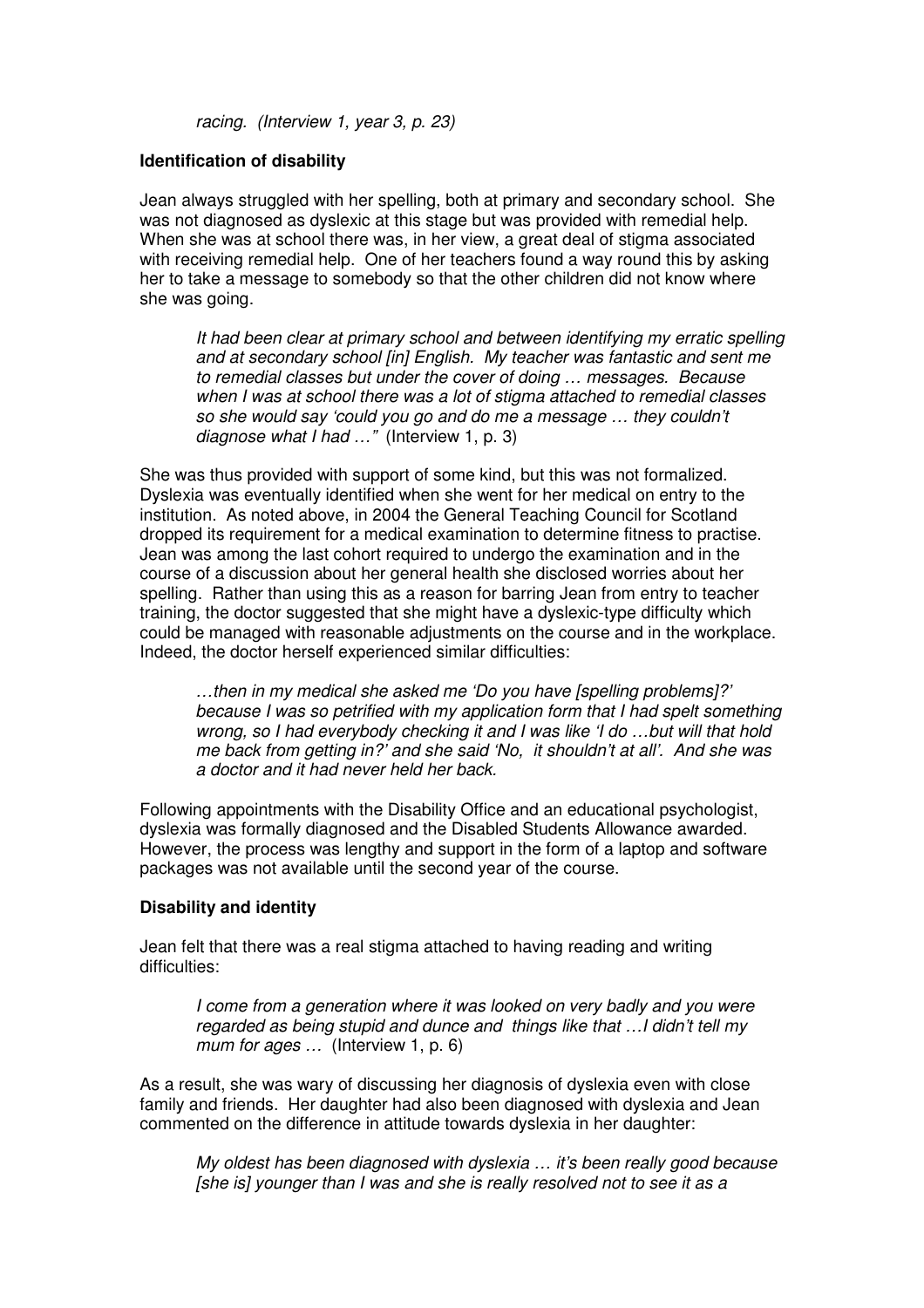racing. (Interview 1, year 3, p. 23)

### Identification of disability

Jean always struggled with her spelling, both at primary and secondary school. She was not diagnosed as dyslexic at this stage but was provided with remedial help. When she was at school there was, in her view, a great deal of stigma associated with receiving remedial help. One of her teachers found a way round this by asking her to take a message to somebody so that the other children did not know where she was going.

It had been clear at primary school and between identifying my erratic spelling and at secondary school [in] English. My teacher was fantastic and sent me to remedial classes but under the cover of doing … messages. Because when I was at school there was a lot of stigma attached to remedial classes so she would say 'could you go and do me a message … they couldn't diagnose what I had ..." (Interview 1, p. 3)

She was thus provided with support of some kind, but this was not formalized. Dyslexia was eventually identified when she went for her medical on entry to the institution. As noted above, in 2004 the General Teaching Council for Scotland dropped its requirement for a medical examination to determine fitness to practise. Jean was among the last cohort required to undergo the examination and in the course of a discussion about her general health she disclosed worries about her spelling. Rather than using this as a reason for barring Jean from entry to teacher training, the doctor suggested that she might have a dyslexic-type difficulty which could be managed with reasonable adjustments on the course and in the workplace. Indeed, the doctor herself experienced similar difficulties:

…then in my medical she asked me 'Do you have [spelling problems]?' because I was so petrified with my application form that I had spelt something wrong, so I had everybody checking it and I was like 'I do …but will that hold me back from getting in?' and she said 'No, it shouldn't at all'. And she was a doctor and it had never held her back.

Following appointments with the Disability Office and an educational psychologist, dyslexia was formally diagnosed and the Disabled Students Allowance awarded. However, the process was lengthy and support in the form of a laptop and software packages was not available until the second year of the course.

#### Disability and identity

Jean felt that there was a real stigma attached to having reading and writing difficulties:

I come from a generation where it was looked on very badly and you were regarded as being stupid and dunce and things like that …I didn't tell my mum for ages ... (Interview 1, p. 6)

As a result, she was wary of discussing her diagnosis of dyslexia even with close family and friends. Her daughter had also been diagnosed with dyslexia and Jean commented on the difference in attitude towards dyslexia in her daughter:

My oldest has been diagnosed with dyslexia … it's been really good because [she is] younger than I was and she is really resolved not to see it as a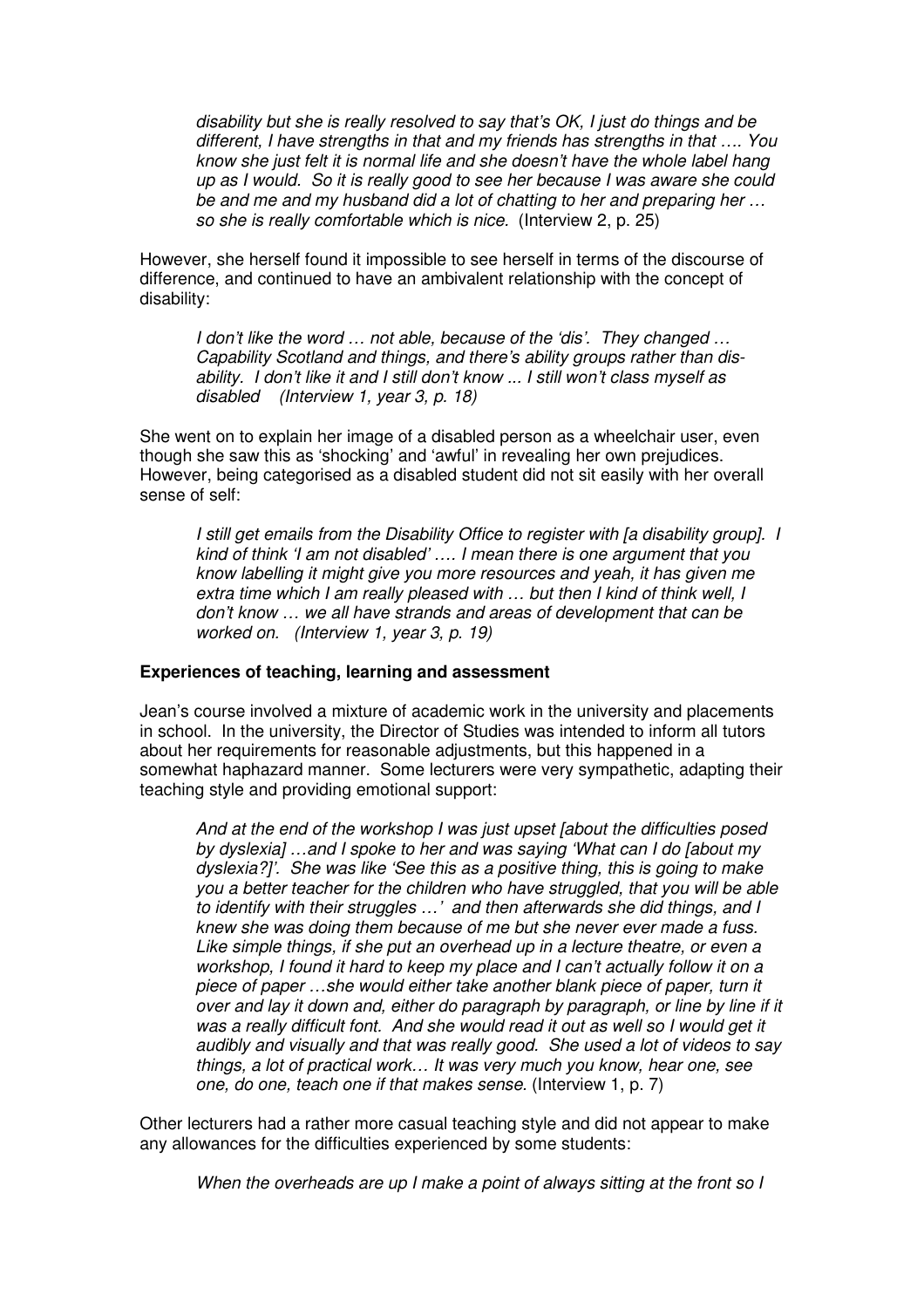disability but she is really resolved to say that's OK, I just do things and be different, I have strengths in that and my friends has strengths in that …. You know she just felt it is normal life and she doesn't have the whole label hang up as I would. So it is really good to see her because I was aware she could be and me and my husband did a lot of chatting to her and preparing her … so she is really comfortable which is nice. (Interview 2, p. 25)

However, she herself found it impossible to see herself in terms of the discourse of difference, and continued to have an ambivalent relationship with the concept of disability:

I don't like the word ... not able, because of the 'dis'. They changed ... Capability Scotland and things, and there's ability groups rather than disability. I don't like it and I still don't know ... I still won't class myself as disabled (Interview 1, year 3, p. 18)

She went on to explain her image of a disabled person as a wheelchair user, even though she saw this as 'shocking' and 'awful' in revealing her own prejudices. However, being categorised as a disabled student did not sit easily with her overall sense of self:

I still get emails from the Disability Office to register with [a disability group]. I kind of think 'I am not disabled' …. I mean there is one argument that you know labelling it might give you more resources and yeah, it has given me extra time which I am really pleased with … but then I kind of think well, I don't know … we all have strands and areas of development that can be worked on. (Interview 1, year 3, p. 19)

#### Experiences of teaching, learning and assessment

Jean's course involved a mixture of academic work in the university and placements in school. In the university, the Director of Studies was intended to inform all tutors about her requirements for reasonable adjustments, but this happened in a somewhat haphazard manner. Some lecturers were very sympathetic, adapting their teaching style and providing emotional support:

And at the end of the workshop I was just upset [about the difficulties posed by dyslexia] …and I spoke to her and was saying 'What can I do [about my dyslexia?]'. She was like 'See this as a positive thing, this is going to make you a better teacher for the children who have struggled, that you will be able to identify with their struggles …' and then afterwards she did things, and I knew she was doing them because of me but she never ever made a fuss. Like simple things, if she put an overhead up in a lecture theatre, or even a workshop, I found it hard to keep my place and I can't actually follow it on a piece of paper …she would either take another blank piece of paper, turn it over and lay it down and, either do paragraph by paragraph, or line by line if it was a really difficult font. And she would read it out as well so I would get it audibly and visually and that was really good. She used a lot of videos to say things, a lot of practical work… It was very much you know, hear one, see one, do one, teach one if that makes sense. (Interview 1, p. 7)

Other lecturers had a rather more casual teaching style and did not appear to make any allowances for the difficulties experienced by some students:

When the overheads are up I make a point of always sitting at the front so I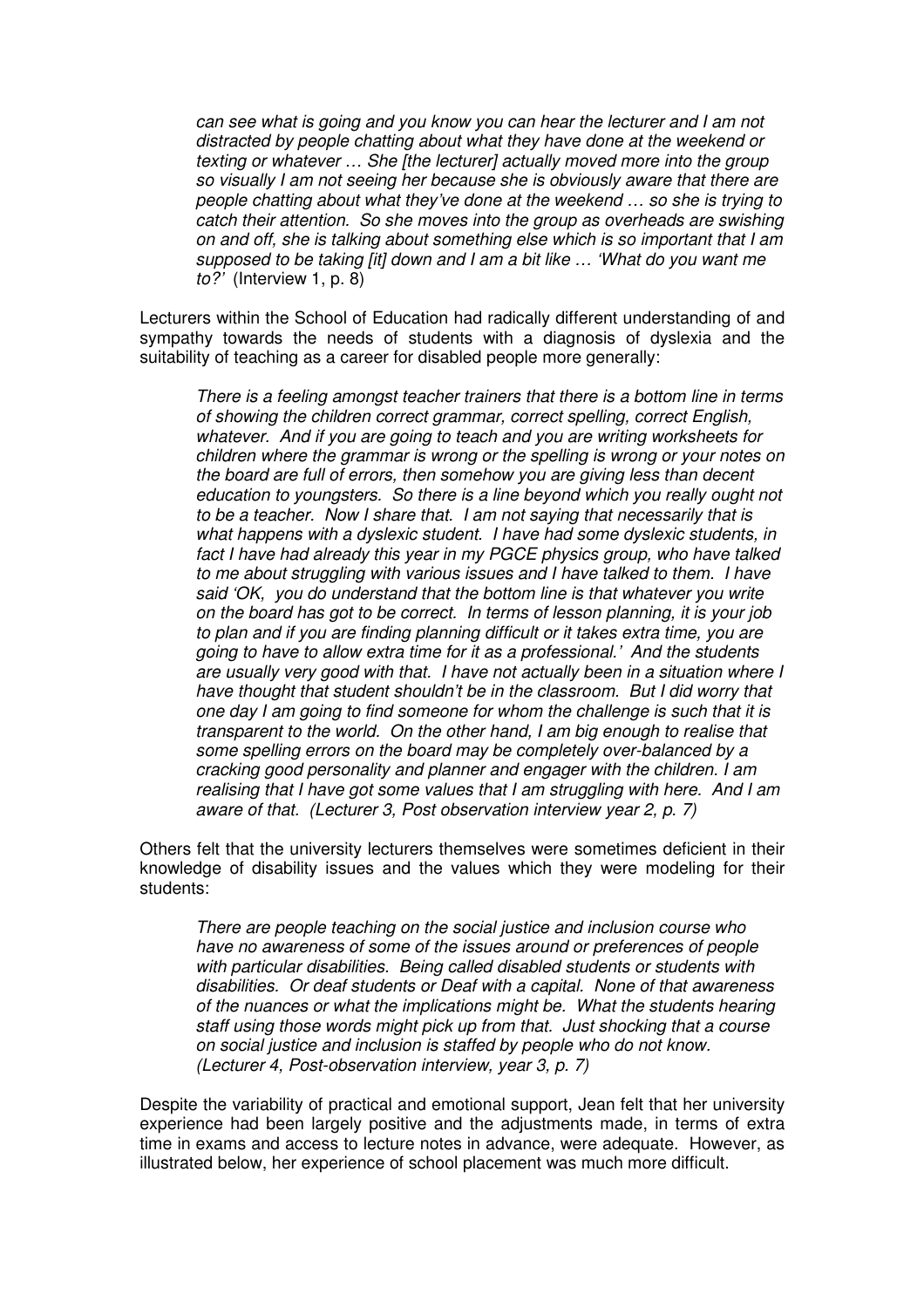can see what is going and you know you can hear the lecturer and I am not distracted by people chatting about what they have done at the weekend or texting or whatever … She [the lecturer] actually moved more into the group so visually I am not seeing her because she is obviously aware that there are people chatting about what they've done at the weekend … so she is trying to catch their attention. So she moves into the group as overheads are swishing on and off, she is talking about something else which is so important that I am supposed to be taking [it] down and I am a bit like … 'What do you want me to?' (Interview 1, p. 8)

Lecturers within the School of Education had radically different understanding of and sympathy towards the needs of students with a diagnosis of dyslexia and the suitability of teaching as a career for disabled people more generally:

There is a feeling amongst teacher trainers that there is a bottom line in terms of showing the children correct grammar, correct spelling, correct English, whatever. And if you are going to teach and you are writing worksheets for children where the grammar is wrong or the spelling is wrong or your notes on the board are full of errors, then somehow you are giving less than decent education to youngsters. So there is a line beyond which you really ought not to be a teacher. Now I share that. I am not saying that necessarily that is what happens with a dyslexic student. I have had some dyslexic students, in fact I have had already this year in my PGCE physics group, who have talked to me about struggling with various issues and I have talked to them. I have said 'OK, you do understand that the bottom line is that whatever you write on the board has got to be correct. In terms of lesson planning, it is your job to plan and if you are finding planning difficult or it takes extra time, you are going to have to allow extra time for it as a professional.' And the students are usually very good with that. I have not actually been in a situation where I have thought that student shouldn't be in the classroom. But I did worry that one day I am going to find someone for whom the challenge is such that it is transparent to the world. On the other hand, I am big enough to realise that some spelling errors on the board may be completely over-balanced by a cracking good personality and planner and engager with the children. I am realising that I have got some values that I am struggling with here. And I am aware of that. (Lecturer 3, Post observation interview year 2, p. 7)

Others felt that the university lecturers themselves were sometimes deficient in their knowledge of disability issues and the values which they were modeling for their students:

There are people teaching on the social justice and inclusion course who have no awareness of some of the issues around or preferences of people with particular disabilities. Being called disabled students or students with disabilities. Or deaf students or Deaf with a capital. None of that awareness of the nuances or what the implications might be. What the students hearing staff using those words might pick up from that. Just shocking that a course on social justice and inclusion is staffed by people who do not know. (Lecturer 4, Post-observation interview, year 3, p. 7)

Despite the variability of practical and emotional support, Jean felt that her university experience had been largely positive and the adjustments made, in terms of extra time in exams and access to lecture notes in advance, were adequate. However, as illustrated below, her experience of school placement was much more difficult.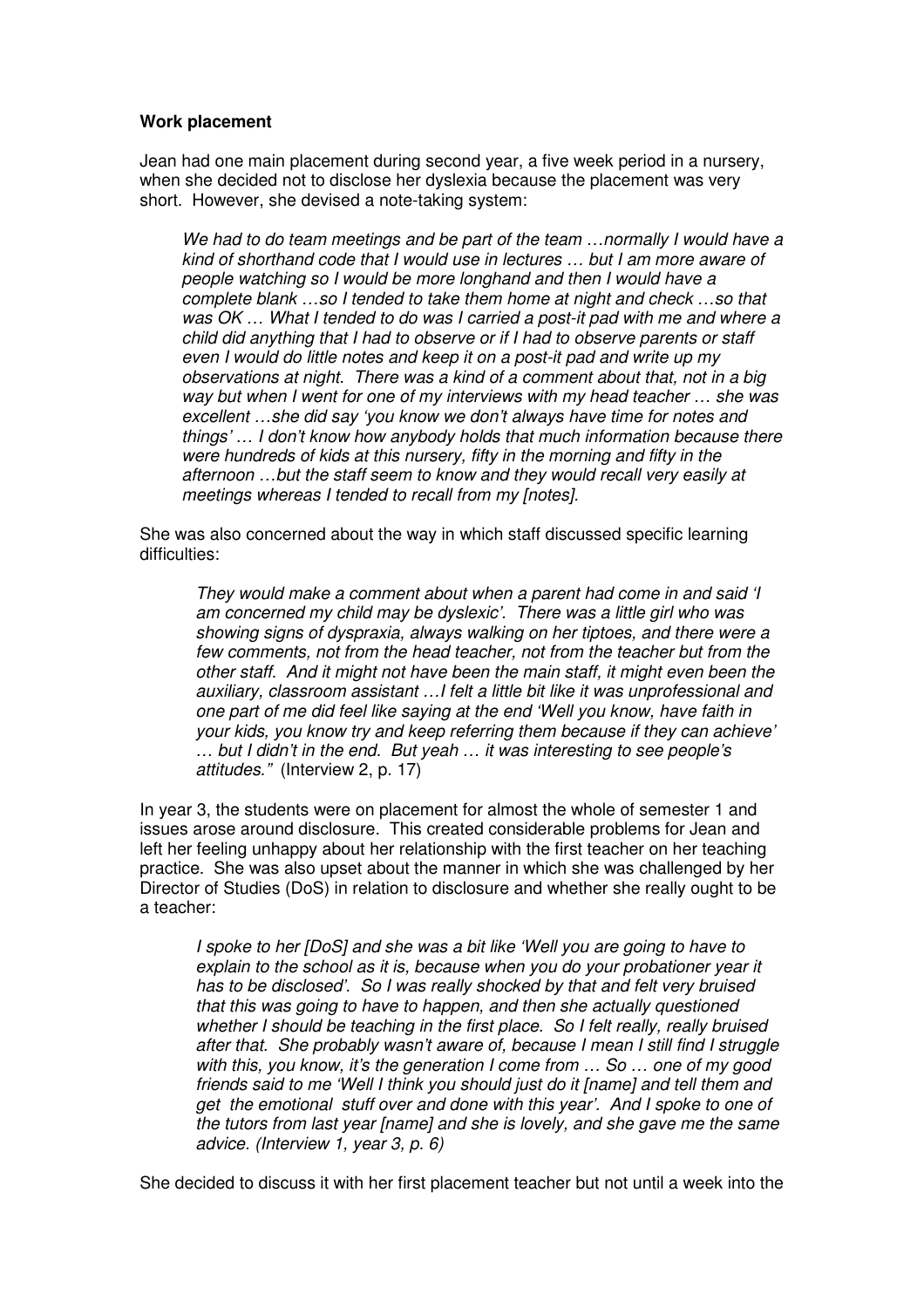# Work placement

Jean had one main placement during second year, a five week period in a nursery, when she decided not to disclose her dyslexia because the placement was very short. However, she devised a note-taking system:

We had to do team meetings and be part of the team ... normally I would have a kind of shorthand code that I would use in lectures … but I am more aware of people watching so I would be more longhand and then I would have a complete blank …so I tended to take them home at night and check …so that was OK … What I tended to do was I carried a post-it pad with me and where a child did anything that I had to observe or if I had to observe parents or staff even I would do little notes and keep it on a post-it pad and write up my observations at night. There was a kind of a comment about that, not in a big way but when I went for one of my interviews with my head teacher … she was excellent …she did say 'you know we don't always have time for notes and things' … I don't know how anybody holds that much information because there were hundreds of kids at this nursery, fifty in the morning and fifty in the afternoon …but the staff seem to know and they would recall very easily at meetings whereas I tended to recall from my [notes].

She was also concerned about the way in which staff discussed specific learning difficulties:

They would make a comment about when a parent had come in and said 'I am concerned my child may be dyslexic'. There was a little girl who was showing signs of dyspraxia, always walking on her tiptoes, and there were a few comments, not from the head teacher, not from the teacher but from the other staff. And it might not have been the main staff, it might even been the auxiliary, classroom assistant …I felt a little bit like it was unprofessional and one part of me did feel like saying at the end 'Well you know, have faith in your kids, you know try and keep referring them because if they can achieve' … but I didn't in the end. But yeah … it was interesting to see people's attitudes." (Interview 2, p. 17)

In year 3, the students were on placement for almost the whole of semester 1 and issues arose around disclosure. This created considerable problems for Jean and left her feeling unhappy about her relationship with the first teacher on her teaching practice. She was also upset about the manner in which she was challenged by her Director of Studies (DoS) in relation to disclosure and whether she really ought to be a teacher:

I spoke to her [DoS] and she was a bit like 'Well you are going to have to explain to the school as it is, because when you do your probationer year it has to be disclosed'. So I was really shocked by that and felt very bruised that this was going to have to happen, and then she actually questioned whether I should be teaching in the first place. So I felt really, really bruised after that. She probably wasn't aware of, because I mean I still find I struggle with this, you know, it's the generation I come from ... So ... one of my good friends said to me 'Well I think you should just do it [name] and tell them and get the emotional stuff over and done with this year'. And I spoke to one of the tutors from last year [name] and she is lovely, and she gave me the same advice. (Interview 1, year 3, p. 6)

She decided to discuss it with her first placement teacher but not until a week into the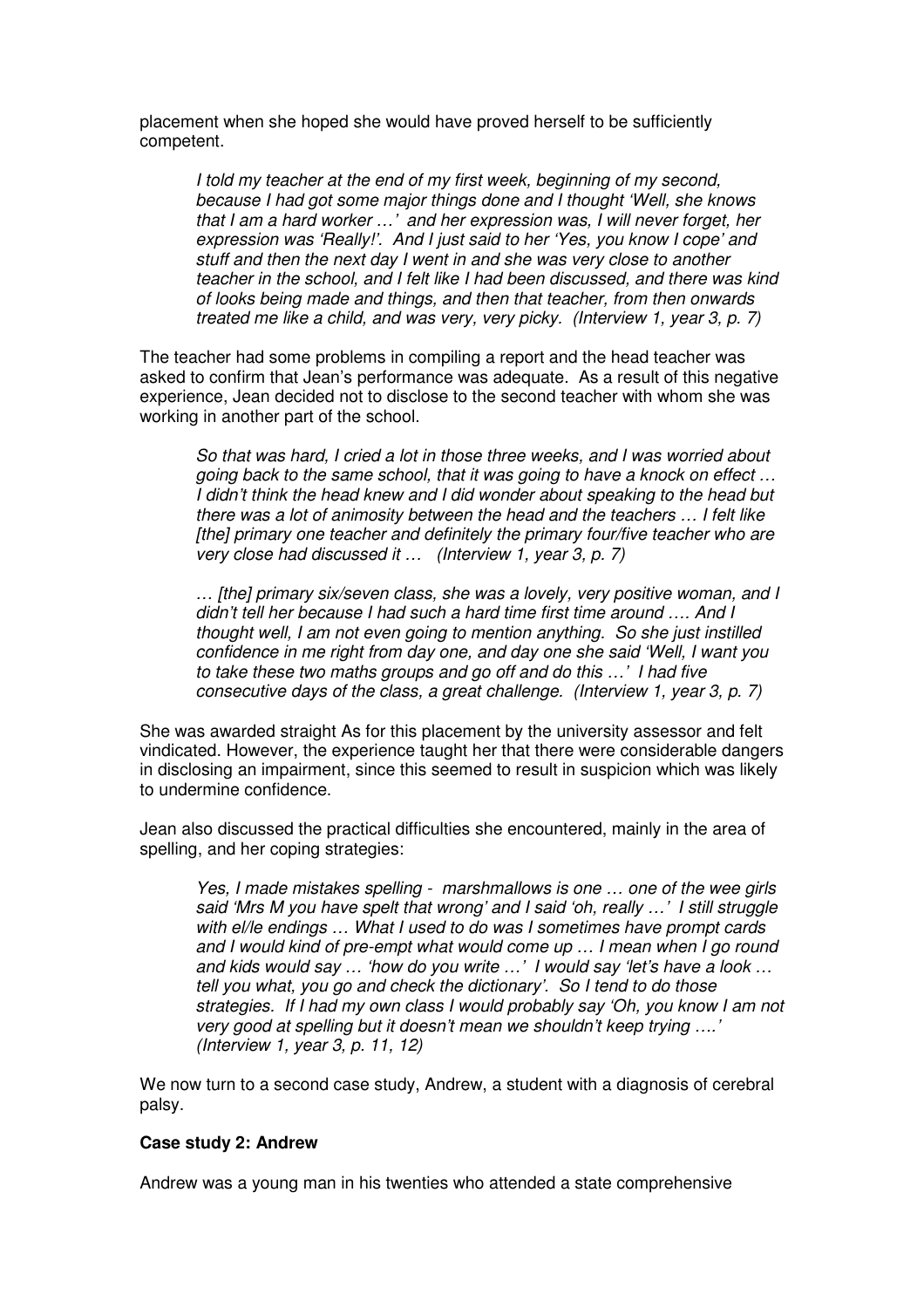placement when she hoped she would have proved herself to be sufficiently competent.

I told my teacher at the end of my first week, beginning of my second, because I had got some major things done and I thought 'Well, she knows that I am a hard worker …' and her expression was, I will never forget, her expression was 'Really!'. And I just said to her 'Yes, you know I cope' and stuff and then the next day I went in and she was very close to another teacher in the school, and I felt like I had been discussed, and there was kind of looks being made and things, and then that teacher, from then onwards treated me like a child, and was very, very picky. (Interview 1, year 3, p. 7)

The teacher had some problems in compiling a report and the head teacher was asked to confirm that Jean's performance was adequate. As a result of this negative experience, Jean decided not to disclose to the second teacher with whom she was working in another part of the school.

So that was hard, I cried a lot in those three weeks, and I was worried about going back to the same school, that it was going to have a knock on effect … I didn't think the head knew and I did wonder about speaking to the head but there was a lot of animosity between the head and the teachers … I felt like [the] primary one teacher and definitely the primary four/five teacher who are very close had discussed it … (Interview 1, year 3, p. 7)

… [the] primary six/seven class, she was a lovely, very positive woman, and I didn't tell her because I had such a hard time first time around …. And I thought well, I am not even going to mention anything. So she just instilled confidence in me right from day one, and day one she said 'Well, I want you to take these two maths groups and go off and do this …' I had five consecutive days of the class, a great challenge. (Interview 1, year 3, p. 7)

She was awarded straight As for this placement by the university assessor and felt vindicated. However, the experience taught her that there were considerable dangers in disclosing an impairment, since this seemed to result in suspicion which was likely to undermine confidence.

Jean also discussed the practical difficulties she encountered, mainly in the area of spelling, and her coping strategies:

Yes, I made mistakes spelling - marshmallows is one … one of the wee girls said 'Mrs M you have spelt that wrong' and I said 'oh, really …' I still struggle with el/le endings ... What I used to do was I sometimes have prompt cards and I would kind of pre-empt what would come up … I mean when I go round and kids would say … 'how do you write …' I would say 'let's have a look … tell you what, you go and check the dictionary'. So I tend to do those strategies. If I had my own class I would probably say 'Oh, you know I am not very good at spelling but it doesn't mean we shouldn't keep trying ….' (Interview 1, year 3, p. 11, 12)

We now turn to a second case study, Andrew, a student with a diagnosis of cerebral palsy.

#### Case study 2: Andrew

Andrew was a young man in his twenties who attended a state comprehensive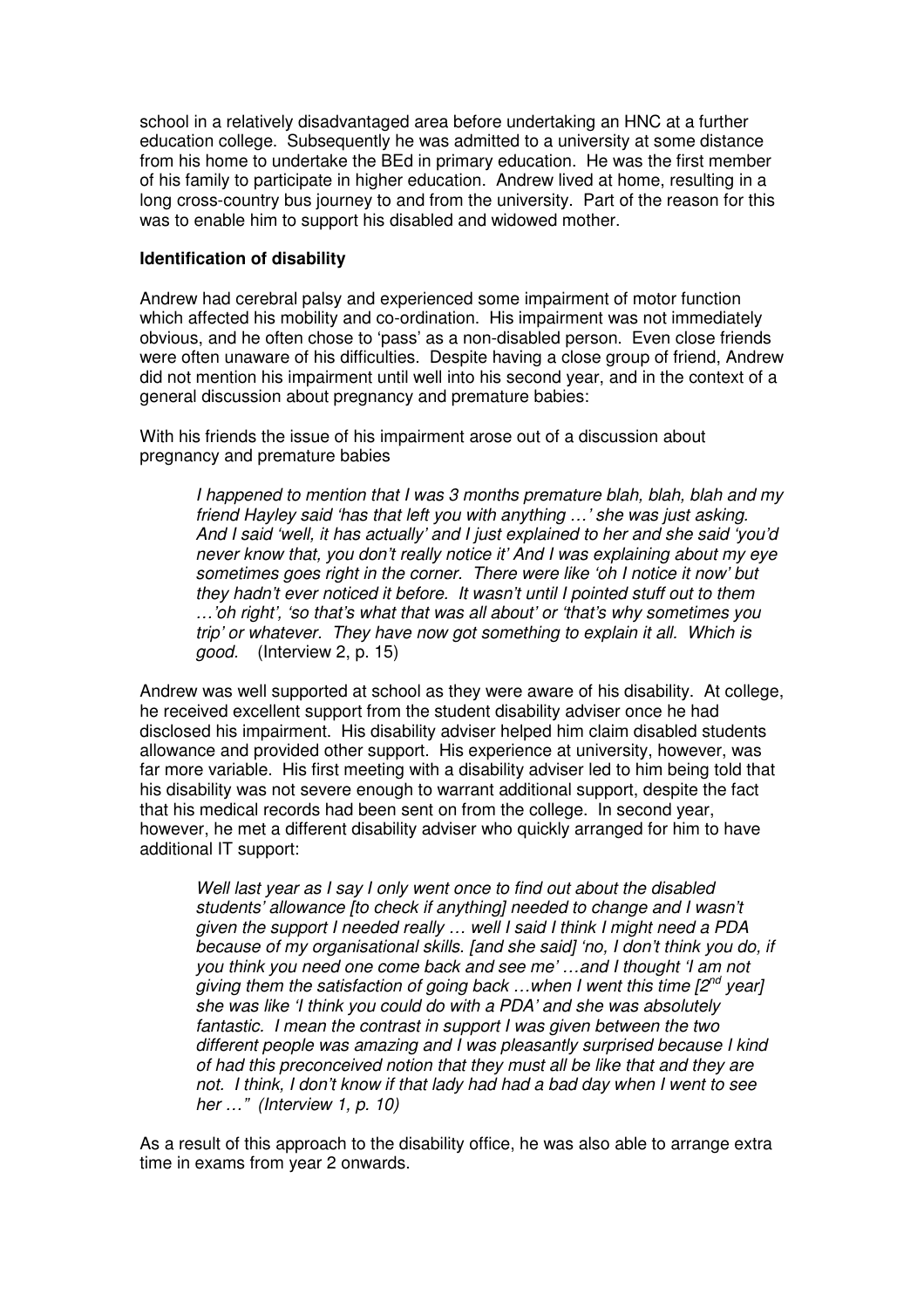school in a relatively disadvantaged area before undertaking an HNC at a further education college. Subsequently he was admitted to a university at some distance from his home to undertake the BEd in primary education. He was the first member of his family to participate in higher education. Andrew lived at home, resulting in a long cross-country bus journey to and from the university. Part of the reason for this was to enable him to support his disabled and widowed mother.

# Identification of disability

Andrew had cerebral palsy and experienced some impairment of motor function which affected his mobility and co-ordination. His impairment was not immediately obvious, and he often chose to 'pass' as a non-disabled person. Even close friends were often unaware of his difficulties. Despite having a close group of friend, Andrew did not mention his impairment until well into his second year, and in the context of a general discussion about pregnancy and premature babies:

With his friends the issue of his impairment arose out of a discussion about pregnancy and premature babies

I happened to mention that I was 3 months premature blah, blah, blah and my friend Hayley said 'has that left you with anything …' she was just asking. And I said 'well, it has actually' and I just explained to her and she said 'you'd never know that, you don't really notice it' And I was explaining about my eye sometimes goes right in the corner. There were like 'oh I notice it now' but they hadn't ever noticed it before. It wasn't until I pointed stuff out to them …'oh right', 'so that's what that was all about' or 'that's why sometimes you trip' or whatever. They have now got something to explain it all. Which is good. (Interview 2, p. 15)

Andrew was well supported at school as they were aware of his disability. At college, he received excellent support from the student disability adviser once he had disclosed his impairment. His disability adviser helped him claim disabled students allowance and provided other support. His experience at university, however, was far more variable. His first meeting with a disability adviser led to him being told that his disability was not severe enough to warrant additional support, despite the fact that his medical records had been sent on from the college. In second year, however, he met a different disability adviser who quickly arranged for him to have additional IT support:

Well last year as I say I only went once to find out about the disabled students' allowance [to check if anything] needed to change and I wasn't given the support I needed really … well I said I think I might need a PDA because of my organisational skills. [and she said] 'no, I don't think you do, if you think you need one come back and see me' …and I thought 'I am not giving them the satisfaction of going back ... when I went this time  $[2^{nd}$  year] she was like 'I think you could do with a PDA' and she was absolutely fantastic. I mean the contrast in support I was given between the two different people was amazing and I was pleasantly surprised because I kind of had this preconceived notion that they must all be like that and they are not. I think, I don't know if that lady had had a bad day when I went to see her …" (Interview 1, p. 10)

As a result of this approach to the disability office, he was also able to arrange extra time in exams from year 2 onwards.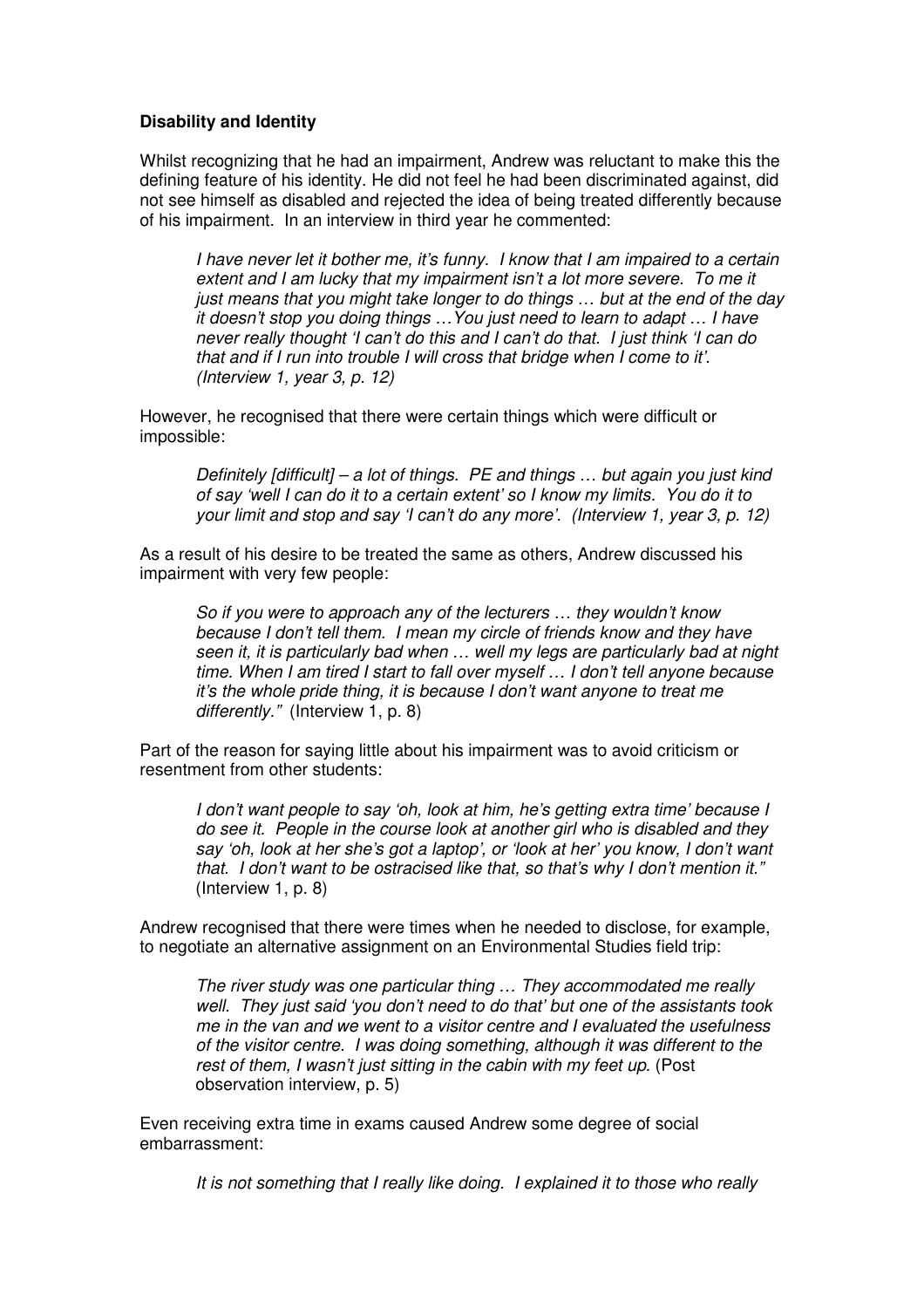# Disability and Identity

Whilst recognizing that he had an impairment, Andrew was reluctant to make this the defining feature of his identity. He did not feel he had been discriminated against, did not see himself as disabled and rejected the idea of being treated differently because of his impairment. In an interview in third year he commented:

I have never let it bother me, it's funny. I know that I am impaired to a certain extent and I am lucky that my impairment isn't a lot more severe. To me it just means that you might take longer to do things ... but at the end of the day it doesn't stop you doing things …You just need to learn to adapt … I have never really thought 'I can't do this and I can't do that. I just think 'I can do that and if I run into trouble I will cross that bridge when I come to it'. (Interview 1, year 3, p. 12)

However, he recognised that there were certain things which were difficult or impossible:

Definitely [difficult] – a lot of things. PE and things ... but again you just kind of say 'well I can do it to a certain extent' so I know my limits. You do it to your limit and stop and say 'I can't do any more'. (Interview 1, year 3, p. 12)

As a result of his desire to be treated the same as others, Andrew discussed his impairment with very few people:

So if you were to approach any of the lecturers … they wouldn't know because I don't tell them. I mean my circle of friends know and they have seen it, it is particularly bad when … well my legs are particularly bad at night time. When I am tired I start to fall over myself … I don't tell anyone because it's the whole pride thing, it is because I don't want anyone to treat me differently." (Interview 1, p. 8)

Part of the reason for saying little about his impairment was to avoid criticism or resentment from other students:

I don't want people to say 'oh, look at him, he's getting extra time' because I do see it. People in the course look at another girl who is disabled and they say 'oh, look at her she's got a laptop', or 'look at her' you know, I don't want that. I don't want to be ostracised like that, so that's why I don't mention it." (Interview 1, p. 8)

Andrew recognised that there were times when he needed to disclose, for example, to negotiate an alternative assignment on an Environmental Studies field trip:

The river study was one particular thing … They accommodated me really well. They just said 'you don't need to do that' but one of the assistants took me in the van and we went to a visitor centre and I evaluated the usefulness of the visitor centre. I was doing something, although it was different to the rest of them, I wasn't just sitting in the cabin with my feet up. (Post observation interview, p. 5)

Even receiving extra time in exams caused Andrew some degree of social embarrassment:

It is not something that I really like doing. I explained it to those who really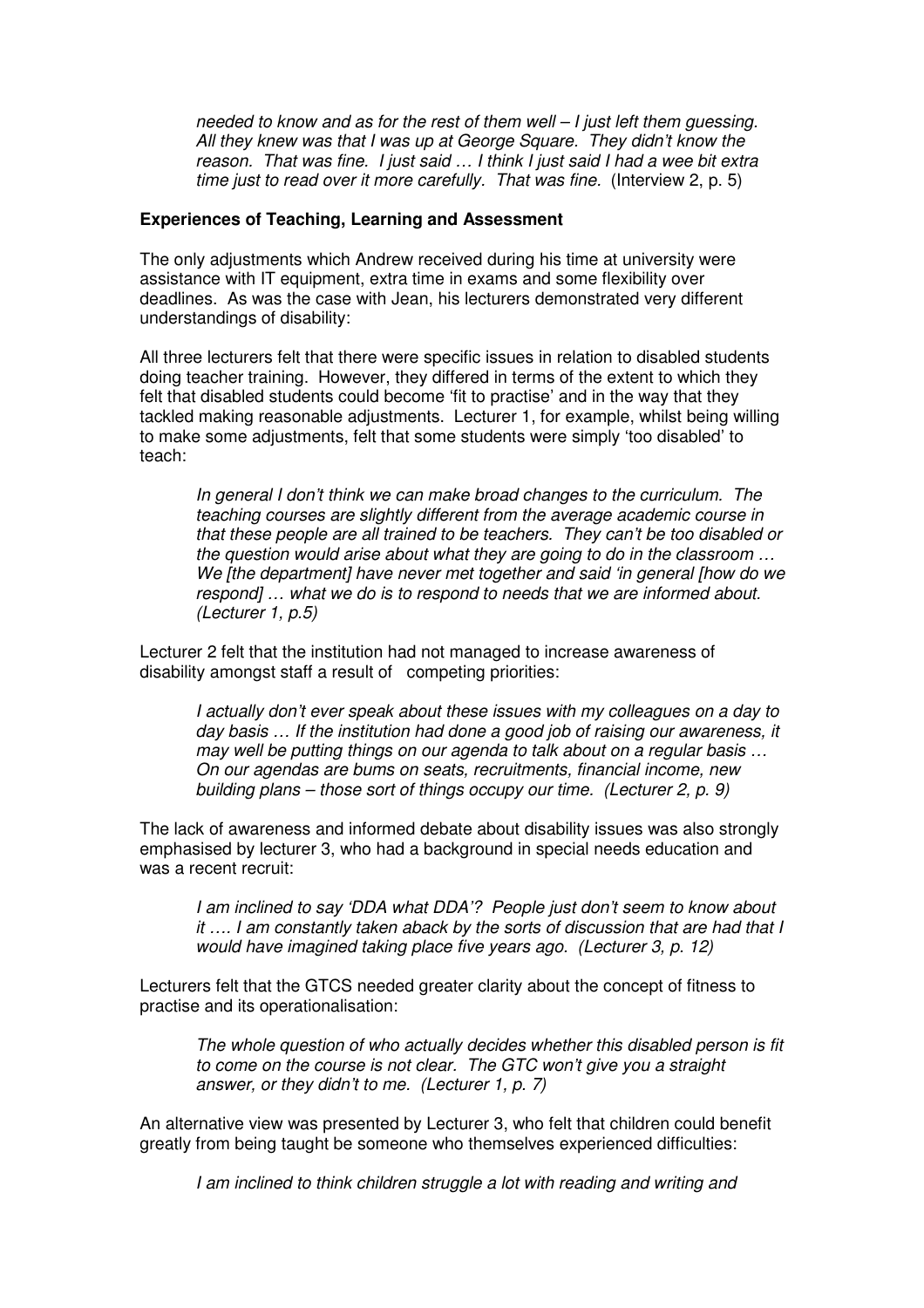needed to know and as for the rest of them well – I just left them guessing. All they knew was that I was up at George Square. They didn't know the reason. That was fine. I just said … I think I just said I had a wee bit extra time just to read over it more carefully. That was fine. (Interview 2, p. 5)

### Experiences of Teaching, Learning and Assessment

The only adjustments which Andrew received during his time at university were assistance with IT equipment, extra time in exams and some flexibility over deadlines. As was the case with Jean, his lecturers demonstrated very different understandings of disability:

All three lecturers felt that there were specific issues in relation to disabled students doing teacher training. However, they differed in terms of the extent to which they felt that disabled students could become 'fit to practise' and in the way that they tackled making reasonable adjustments. Lecturer 1, for example, whilst being willing to make some adjustments, felt that some students were simply 'too disabled' to teach:

In general I don't think we can make broad changes to the curriculum. The teaching courses are slightly different from the average academic course in that these people are all trained to be teachers. They can't be too disabled or the question would arise about what they are going to do in the classroom … We [the department] have never met together and said 'in general [how do we respond] … what we do is to respond to needs that we are informed about. (Lecturer 1, p.5)

Lecturer 2 felt that the institution had not managed to increase awareness of disability amongst staff a result of competing priorities:

I actually don't ever speak about these issues with my colleagues on a day to day basis … If the institution had done a good job of raising our awareness, it may well be putting things on our agenda to talk about on a regular basis … On our agendas are bums on seats, recruitments, financial income, new building plans – those sort of things occupy our time. (Lecturer 2, p. 9)

The lack of awareness and informed debate about disability issues was also strongly emphasised by lecturer 3, who had a background in special needs education and was a recent recruit:

I am inclined to say 'DDA what DDA'? People just don't seem to know about it …. I am constantly taken aback by the sorts of discussion that are had that I would have imagined taking place five years ago. (Lecturer 3, p. 12)

Lecturers felt that the GTCS needed greater clarity about the concept of fitness to practise and its operationalisation:

The whole question of who actually decides whether this disabled person is fit to come on the course is not clear. The GTC won't give you a straight answer, or they didn't to me. (Lecturer 1, p. 7)

An alternative view was presented by Lecturer 3, who felt that children could benefit greatly from being taught be someone who themselves experienced difficulties:

I am inclined to think children struggle a lot with reading and writing and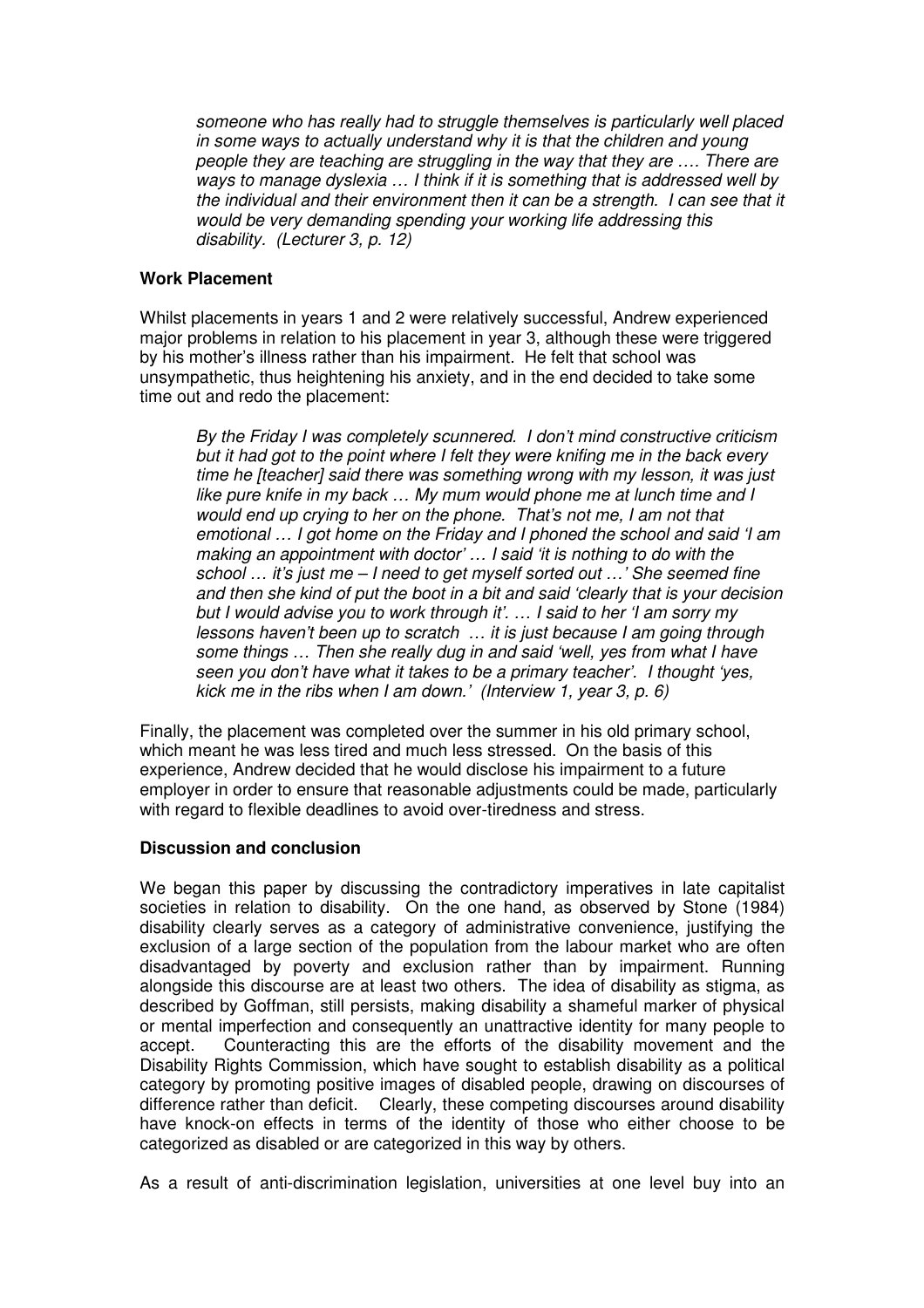someone who has really had to struggle themselves is particularly well placed in some ways to actually understand why it is that the children and young people they are teaching are struggling in the way that they are …. There are ways to manage dyslexia … I think if it is something that is addressed well by the individual and their environment then it can be a strength. I can see that it would be very demanding spending your working life addressing this disability. (Lecturer 3, p. 12)

### Work Placement

Whilst placements in years 1 and 2 were relatively successful, Andrew experienced major problems in relation to his placement in year 3, although these were triggered by his mother's illness rather than his impairment. He felt that school was unsympathetic, thus heightening his anxiety, and in the end decided to take some time out and redo the placement:

By the Friday I was completely scunnered. I don't mind constructive criticism but it had got to the point where I felt they were knifing me in the back every time he [teacher] said there was something wrong with my lesson, it was just like pure knife in my back … My mum would phone me at lunch time and I would end up crying to her on the phone. That's not me, I am not that emotional … I got home on the Friday and I phoned the school and said 'I am making an appointment with doctor' … I said 'it is nothing to do with the school … it's just me – I need to get myself sorted out …' She seemed fine and then she kind of put the boot in a bit and said 'clearly that is your decision but I would advise you to work through it'. … I said to her 'I am sorry my lessons haven't been up to scratch … it is just because I am going through some things … Then she really dug in and said 'well, yes from what I have seen you don't have what it takes to be a primary teacher'. I thought 'yes, kick me in the ribs when I am down.' (Interview 1, year 3, p. 6)

Finally, the placement was completed over the summer in his old primary school, which meant he was less tired and much less stressed. On the basis of this experience, Andrew decided that he would disclose his impairment to a future employer in order to ensure that reasonable adjustments could be made, particularly with regard to flexible deadlines to avoid over-tiredness and stress.

# Discussion and conclusion

We began this paper by discussing the contradictory imperatives in late capitalist societies in relation to disability. On the one hand, as observed by Stone (1984) disability clearly serves as a category of administrative convenience, justifying the exclusion of a large section of the population from the labour market who are often disadvantaged by poverty and exclusion rather than by impairment. Running alongside this discourse are at least two others. The idea of disability as stigma, as described by Goffman, still persists, making disability a shameful marker of physical or mental imperfection and consequently an unattractive identity for many people to accept. Counteracting this are the efforts of the disability movement and the Disability Rights Commission, which have sought to establish disability as a political category by promoting positive images of disabled people, drawing on discourses of difference rather than deficit. Clearly, these competing discourses around disability have knock-on effects in terms of the identity of those who either choose to be categorized as disabled or are categorized in this way by others.

As a result of anti-discrimination legislation, universities at one level buy into an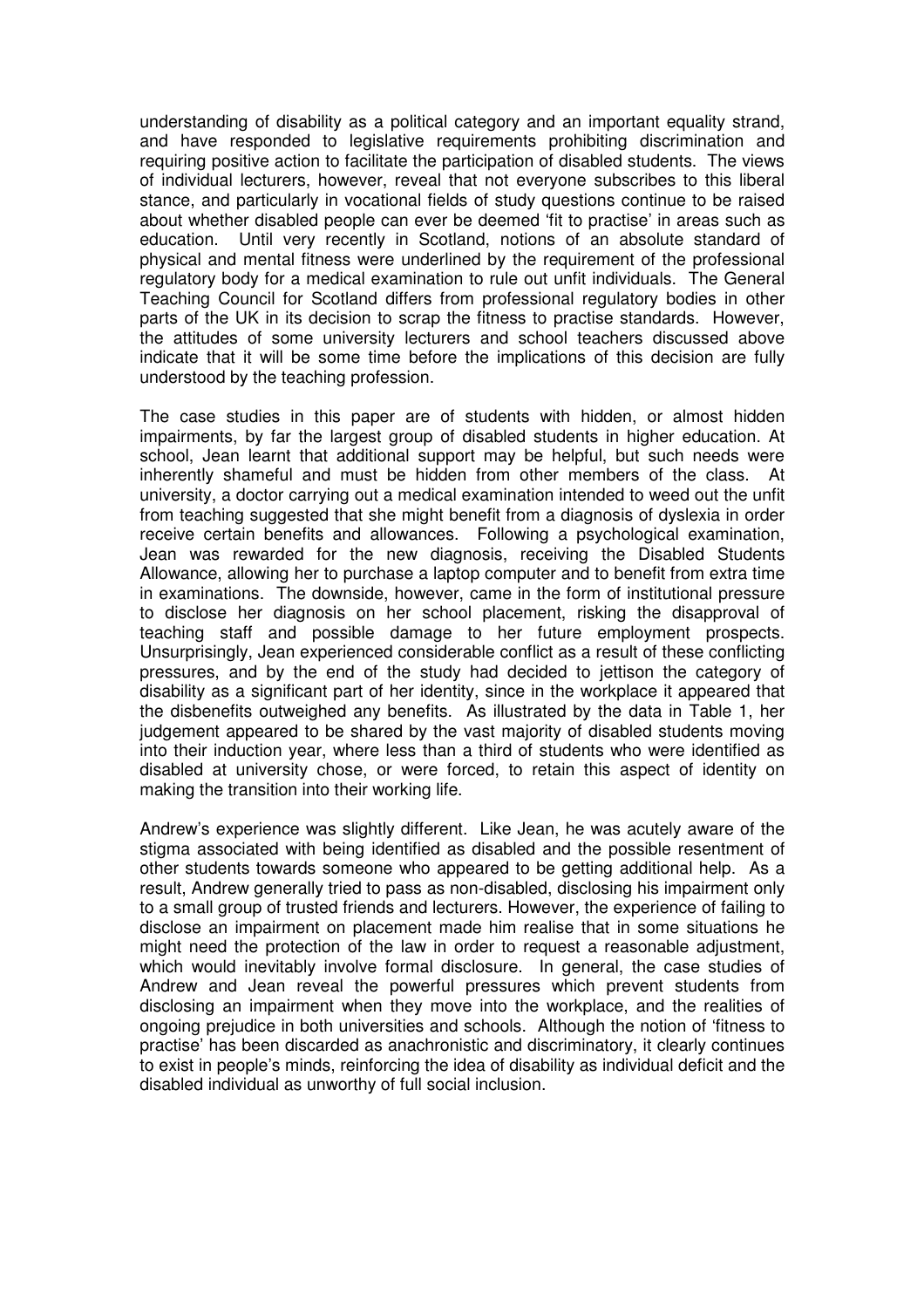understanding of disability as a political category and an important equality strand, and have responded to legislative requirements prohibiting discrimination and requiring positive action to facilitate the participation of disabled students. The views of individual lecturers, however, reveal that not everyone subscribes to this liberal stance, and particularly in vocational fields of study questions continue to be raised about whether disabled people can ever be deemed 'fit to practise' in areas such as education. Until very recently in Scotland, notions of an absolute standard of physical and mental fitness were underlined by the requirement of the professional regulatory body for a medical examination to rule out unfit individuals. The General Teaching Council for Scotland differs from professional regulatory bodies in other parts of the UK in its decision to scrap the fitness to practise standards. However, the attitudes of some university lecturers and school teachers discussed above indicate that it will be some time before the implications of this decision are fully understood by the teaching profession.

The case studies in this paper are of students with hidden, or almost hidden impairments, by far the largest group of disabled students in higher education. At school, Jean learnt that additional support may be helpful, but such needs were inherently shameful and must be hidden from other members of the class. At university, a doctor carrying out a medical examination intended to weed out the unfit from teaching suggested that she might benefit from a diagnosis of dyslexia in order receive certain benefits and allowances. Following a psychological examination, Jean was rewarded for the new diagnosis, receiving the Disabled Students Allowance, allowing her to purchase a laptop computer and to benefit from extra time in examinations. The downside, however, came in the form of institutional pressure to disclose her diagnosis on her school placement, risking the disapproval of teaching staff and possible damage to her future employment prospects. Unsurprisingly, Jean experienced considerable conflict as a result of these conflicting pressures, and by the end of the study had decided to jettison the category of disability as a significant part of her identity, since in the workplace it appeared that the disbenefits outweighed any benefits. As illustrated by the data in Table 1, her judgement appeared to be shared by the vast majority of disabled students moving into their induction year, where less than a third of students who were identified as disabled at university chose, or were forced, to retain this aspect of identity on making the transition into their working life.

Andrew's experience was slightly different. Like Jean, he was acutely aware of the stigma associated with being identified as disabled and the possible resentment of other students towards someone who appeared to be getting additional help. As a result, Andrew generally tried to pass as non-disabled, disclosing his impairment only to a small group of trusted friends and lecturers. However, the experience of failing to disclose an impairment on placement made him realise that in some situations he might need the protection of the law in order to request a reasonable adjustment, which would inevitably involve formal disclosure. In general, the case studies of Andrew and Jean reveal the powerful pressures which prevent students from disclosing an impairment when they move into the workplace, and the realities of ongoing prejudice in both universities and schools. Although the notion of 'fitness to practise' has been discarded as anachronistic and discriminatory, it clearly continues to exist in people's minds, reinforcing the idea of disability as individual deficit and the disabled individual as unworthy of full social inclusion.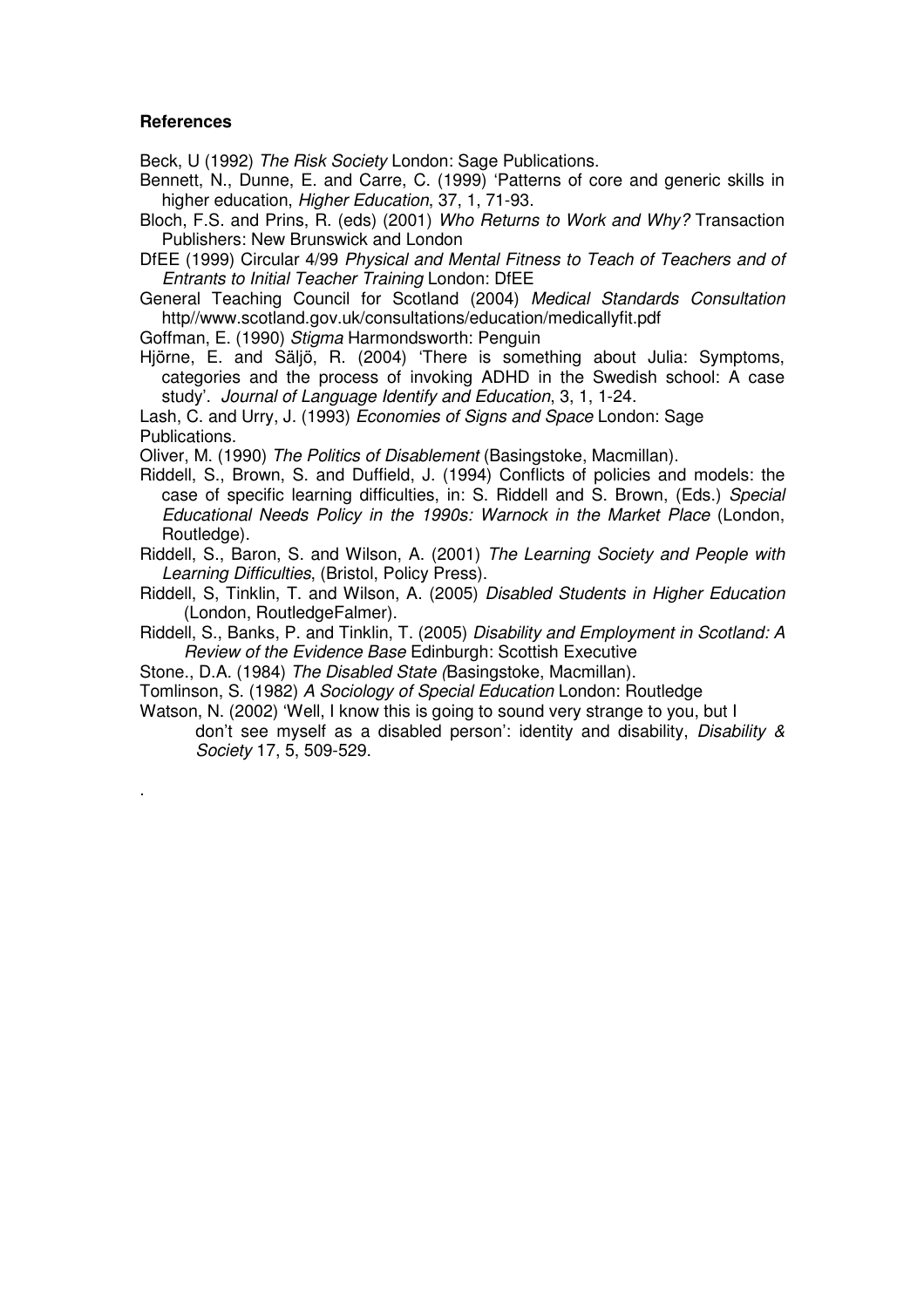# **References**

.

Beck, U (1992) The Risk Society London: Sage Publications.

Bennett, N., Dunne, E. and Carre, C. (1999) 'Patterns of core and generic skills in higher education, Higher Education, 37, 1, 71-93.

Bloch, F.S. and Prins, R. (eds) (2001) Who Returns to Work and Why? Transaction Publishers: New Brunswick and London

DfEE (1999) Circular 4/99 Physical and Mental Fitness to Teach of Teachers and of Entrants to Initial Teacher Training London: DfEE

General Teaching Council for Scotland (2004) Medical Standards Consultation http//www.scotland.gov.uk/consultations/education/medicallyfit.pdf

Goffman, E. (1990) Stigma Harmondsworth: Penguin

Hjörne, E. and Säljö, R. (2004) 'There is something about Julia: Symptoms, categories and the process of invoking ADHD in the Swedish school: A case study'. Journal of Language Identify and Education, 3, 1, 1-24.

Lash, C. and Urry, J. (1993) Economies of Signs and Space London: Sage Publications.

Oliver, M. (1990) The Politics of Disablement (Basingstoke, Macmillan).

Riddell, S., Brown, S. and Duffield, J. (1994) Conflicts of policies and models: the case of specific learning difficulties, in: S. Riddell and S. Brown, (Eds.) Special Educational Needs Policy in the 1990s: Warnock in the Market Place (London, Routledge).

Riddell, S., Baron, S. and Wilson, A. (2001) The Learning Society and People with Learning Difficulties, (Bristol, Policy Press).

Riddell, S, Tinklin, T. and Wilson, A. (2005) Disabled Students in Higher Education (London, RoutledgeFalmer).

Riddell, S., Banks, P. and Tinklin, T. (2005) Disability and Employment in Scotland: A Review of the Evidence Base Edinburgh: Scottish Executive

Stone., D.A. (1984) The Disabled State (Basingstoke, Macmillan).

Tomlinson, S. (1982) A Sociology of Special Education London: Routledge

Watson, N. (2002) 'Well, I know this is going to sound very strange to you, but I don't see myself as a disabled person': identity and disability, Disability & Society 17, 5, 509-529.